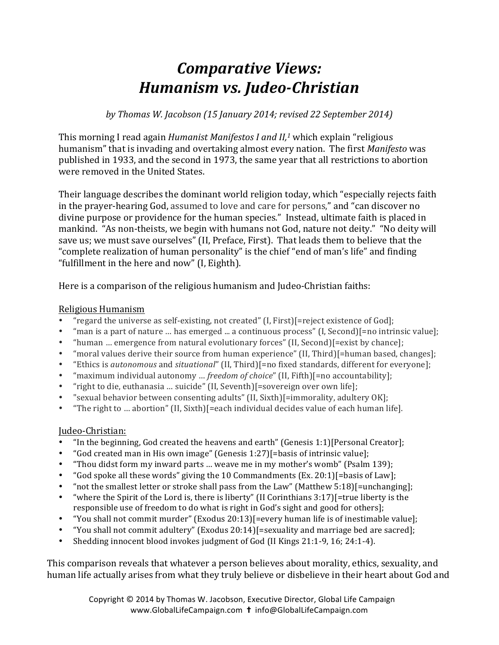## *Comparative Views: Humanism vs. Judeo-Christian*

*by Thomas W. Jacobson (15 January 2014; revised 22 September 2014)*

This morning I read again *Humanist Manifestos I and II,<sup>1</sup>* which explain "religious humanism" that is invading and overtaking almost every nation. The first *Manifesto* was published in 1933, and the second in 1973, the same year that all restrictions to abortion were removed in the United States.

Their language describes the dominant world religion today, which "especially rejects faith in the prayer-hearing God, assumed to love and care for persons," and "can discover no divine purpose or providence for the human species." Instead, ultimate faith is placed in mankind. "As non-theists, we begin with humans not God, nature not deity." "No deity will save us; we must save ourselves" (II, Preface, First). That leads them to believe that the "complete realization of human personality" is the chief "end of man's life" and finding "fulfillment in the here and now"  $(I, Eighth)$ .

Here is a comparison of the religious humanism and Judeo-Christian faiths:

## Religious Humanism

- "regard the universe as self-existing, not created"  $(I, First)$ [=reject existence of God];
- "man is a part of nature  $\ldots$  has emerged  $\ldots$  a continuous process" (I, Second)[=no intrinsic value];
- "human ... emergence from natural evolutionary forces" (II, Second) [=exist by chance];
- "moral values derive their source from human experience" (II, Third)[=human based, changes];
- "Ethics is *autonomous* and *situational*" (II, Third)[=no fixed standards, different for everyone];
- "maximum individual autonomy ... *freedom of choice"* (II, Fifth)[=no accountability];
- "right to die, euthanasia ... suicide" (II, Seventh)[=sovereign over own life];
- "sexual behavior between consenting adults" (II, Sixth)[=immorality, adultery OK];
- "The right to  $\ldots$  abortion" (II, Sixth)[=each individual decides value of each human life].

## Judeo-Christian:

- "In the beginning, God created the heavens and earth" (Genesis 1:1)[Personal Creator];
- "God created man in His own image" (Genesis  $1:27$ ][=basis of intrinsic value];
- "Thou didst form my inward parts ... weave me in my mother's womb" (Psalm 139);
- "God spoke all these words" giving the 10 Commandments  $(Ex. 20:1)$ [=basis of Law];
- "not the smallest letter or stroke shall pass from the Law" (Matthew  $5:18$ )[=unchanging];
- "where the Spirit of the Lord is, there is liberty" (II Corinthians  $3:17$ )[=true liberty is the responsible use of freedom to do what is right in God's sight and good for others];
- "You shall not commit murder" (Exodus  $20:13$ )[=every human life is of inestimable value];
- "You shall not commit adultery" (Exodus 20:14) [=sexuality and marriage bed are sacred];
- Shedding innocent blood invokes judgment of God (II Kings 21:1-9, 16; 24:1-4).

This comparison reveals that whatever a person believes about morality, ethics, sexuality, and human life actually arises from what they truly believe or disbelieve in their heart about God and